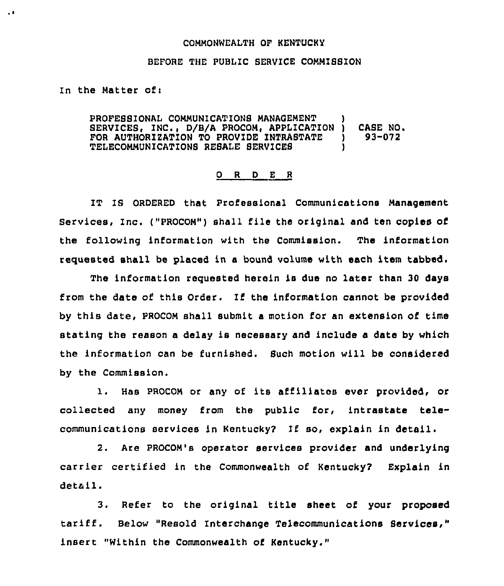## COMMONWEALTH OF KENTUCKY

## BEFORE THE PUBLIC SERVICE COMMISSION

In the Matter ofi

 $\ddot{\bullet}$ 

PROFESSIONAL COMMUNICATIONS MANAGEMENT SERVICES, INC., D/B/A PROCOM, APPLICATION ) CASE NO.<br>FOR AUTHORIZATION TO PROVIDE INTRASTATE ) 93-072 FOR AUTHORIZATION TO PROVIDE INTRASTATE )<br>TELECOMMUNICATIONS RESALE SERVICES TELECOMMUNICATIONS RESALE SERVICES )

## 0 <sup>R</sup> <sup>D</sup> <sup>E</sup> <sup>R</sup>

IT Is 0RDERED that professional Communications Management Services, Inc. ("PROCOM") shall file the original and ten copies of the following information with the Commission. The information requested shall be placed in a bound volume with each item tabbed.

The information requested herein is due no later than 30 days from the date of this Order. If the information cannot be provided by this date, PROCOM shall submit a motion for an extension of time stating the reason a delay is necessary and include a data by which the information can be furnished. Such motion will be considered by the Commission.

1. Has PROCOM or any of its affiliates ever provided, or collected any money from the public for, intrastate telecommunications services in Kentucky? If so, explain in detail.

2. Are PROCOM's operator services provider and underlying carrier certified in the Commonwealth of Kentucky? Explain in detail.

3. Refer to the original title sheet of your proposed tariff. Below "Resold Interchange Telecommunications Services," insert "Within the Commonwealth of Kentucky."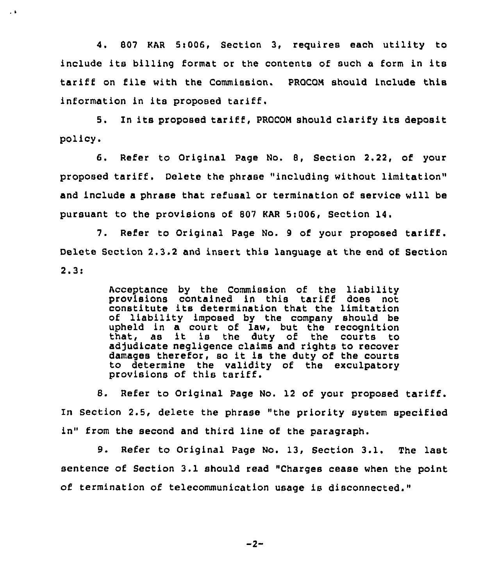4. 807 KAR 5t006, Section 3, requires each utility to include its billing format or the contents of such <sup>a</sup> form in its tariff on file with the Commission. PROCOM Should include this information in its proposed tariff.

 $\sim$  6

5. In its proposed tariff, PROCOM should clarify its deposit policy.

6. Refer to Original Page No. 8, Section 2.22, of your proposed tariff. Delete the phrase "including without limitation" and include a phrase that refusal or termination of service will be pursuant to the provisions of 807 EAR 5:006, Section 14.

7. Refer to Original Page No. <sup>9</sup> of your proposed tariff. Delete Section 2.3.2 and insert this language at the end of Section  $2.3:$ 

> Acceptance by the Commission of the liability<br>provisions contained in this tariff does not constitute its determination that the limitation of liability imposed by the company should be upheld in a court of law, but the recognition that, as it is the duty of the courts to adjudicate negligence claims and rights to recover damages therefor, so it is the duty of the courts to determine the validity of the exculpatory provisions of this tariff.

8. Refer to Original Page No. <sup>12</sup> of your proposed tariff. In Section 2.5, delete the phrase "the priority system specified in" from the second and third line of the paragraph.

9. Refer to Original Page No. 13, Section 3.1. The last sentence of Section 3.1 should read "Charges cease when the point of termination of telecommunication usage is disconnected."

 $-2-$